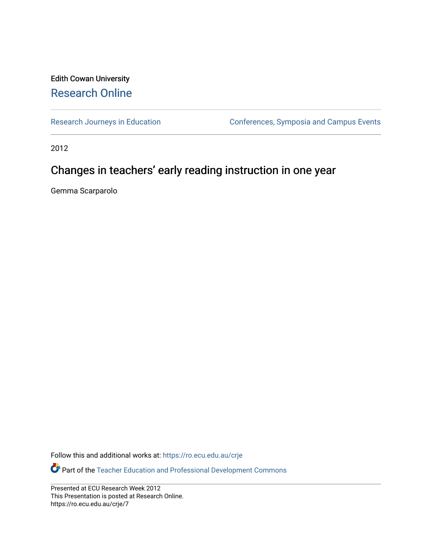#### Edith Cowan University [Research Online](https://ro.ecu.edu.au/)

[Research Journeys in Education](https://ro.ecu.edu.au/crje) **Conferences**, Symposia and Campus Events

2012

#### Changes in teachers' early reading instruction in one year

Gemma Scarparolo

Follow this and additional works at: [https://ro.ecu.edu.au/crje](https://ro.ecu.edu.au/crje?utm_source=ro.ecu.edu.au%2Fcrje%2F7&utm_medium=PDF&utm_campaign=PDFCoverPages) 

Part of the [Teacher Education and Professional Development Commons](http://network.bepress.com/hgg/discipline/803?utm_source=ro.ecu.edu.au%2Fcrje%2F7&utm_medium=PDF&utm_campaign=PDFCoverPages) 

Presented at ECU Research Week 2012 This Presentation is posted at Research Online. https://ro.ecu.edu.au/crje/7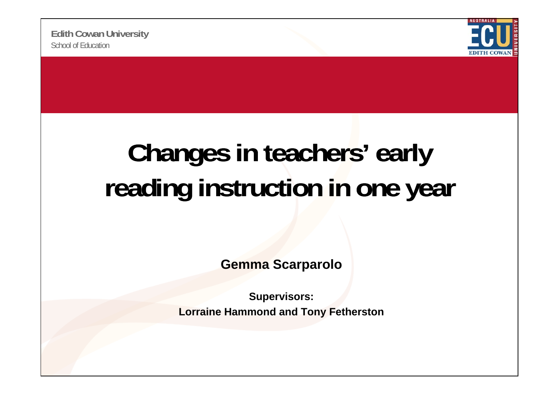

## **Changes in teachers early ' early**  reading instruction in one year

**Gemma Scarparolo**

**Supervisors: Lorraine Hammond and Tony Fetherston**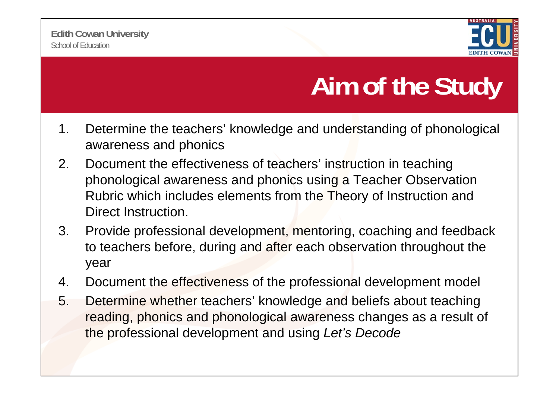

## **Aim of the Study**

- 1. Determine the teachers' knowledge and understanding of phonological awareness and phonics
- 2. Document the effectiveness of teachers' instruction in teaching phonological awareness and phonics using a Teacher Observation Rubric which includes elements from the Theory of Instruction and Direct Instruction.
- 3. Provide professional development, mentoring, coaching and feedback to teachers before, during and after each observation throughout the year
- 4. Document the effectiveness of the professional development model
- 5. Determine whether teachers' knowledge and beliefs about teaching reading, phonics and phonological awareness changes as a result of the professional development and using using *Let s' Decode*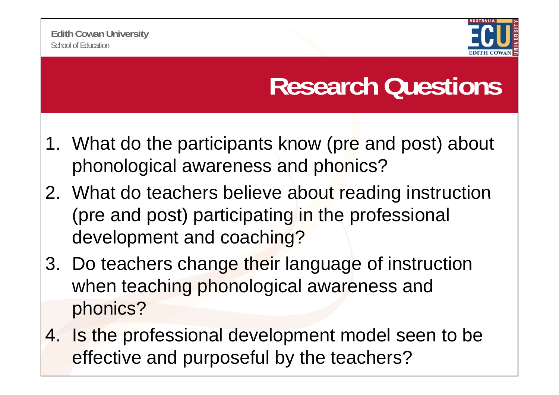

## **Research Questions**

- 1. What do the participants know (pre and post) about phonological awareness and phonics?
- 2. What do teachers believe about reading instruction (pre and post) participating in the professional development and coaching?
- 3. Do teachers change their language of instruction when teaching phonological awareness and phonics?
- 4. Is the professional development model seen to be effective and purposeful by the teachers?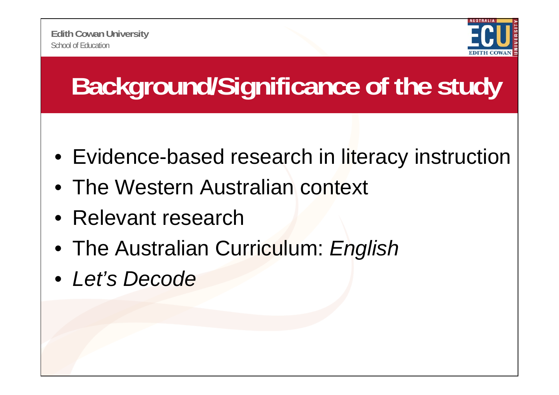

# **Background/Significance of the study**

- Evidence-based research in literacy instruction
- The Western Australian context
- Relevant research
- The Australian Curriculum: *English*
- *Let's Decode*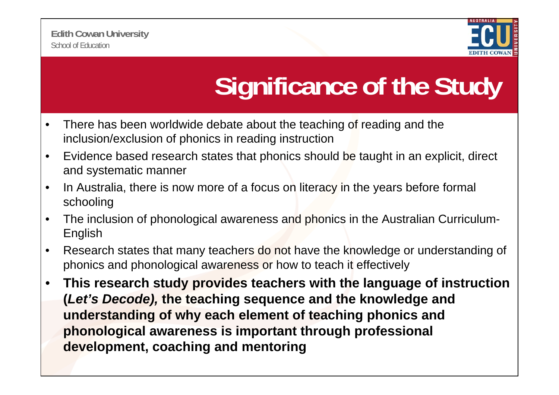

# **Significance of the Study**

- • There has been worldwide debate about the teaching of reading and the inclusion/exclusion of phonics in reading instruction
- $\bullet$ E vidence based research states that phonics should be taught in an explicit, direct and systematic manner
- $\bullet$  In Australia, there is now more of a focus on literacy in the years before formal schooling
- $\bullet$  The inclusion of phonological awareness and phonics in the Australian Curriculum-English
- $\bullet$  Research states that many teachers do not have the knowledge or understanding of phonics and phonological awareness or how to teach it effectively
- $\bullet$  **This research study provides teachers with the language of instruction (***Let's Decode),* **the teaching sequence and the knowledge and understanding of why each element of teaching phonics and phonological awareness is important through professional development, coaching and mentoring**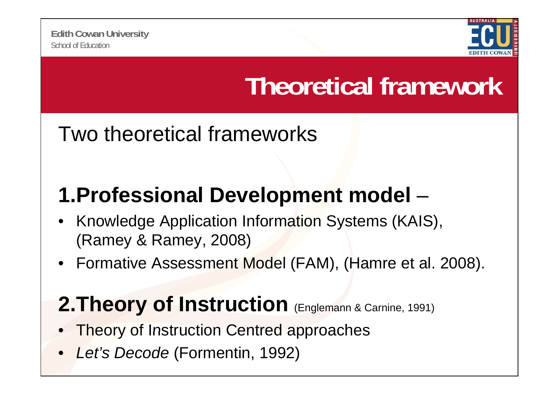

## **Theoretical framework**

### Two theoretical frameworks

## **1.Professional Development model Professional** –

- • Knowledge Application Information Systems (KAIS), (Ramey & Ramey, 2008)
- •Formative Assessment Model (FAM), (Hamre et al. 2008).

### **2. Theory of Instruction** (Englemann & Carnine, 1991)

- •Theory of Instruction Centred approaches
- $\bullet$ *Let's Decode* (Formentin, 1992)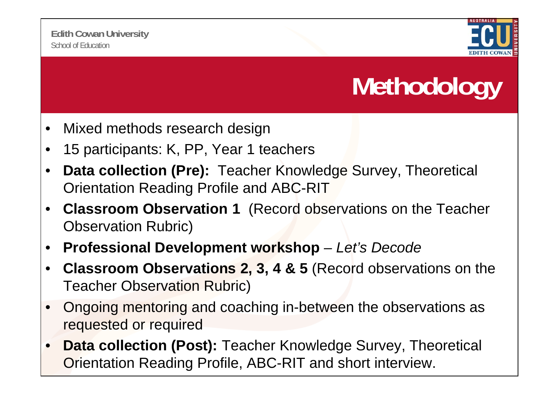

# **Methodology**

- •Mixed methods research design
- •15 participants: K, PP, Year 1 teachers
- • **Data collection (Pre):** Teacher Knowledge Survey, Theoretical Orientation Reading Profile and ABC-RIT
- $\bullet$  **Classroom Observation 1** (Record observations on the Teacher Observation Rubric)
- •**Professional Development workshop** *– Let's Decode*
- • **Classroom Observations 2, 3, 4 & 5** (Record observations on the Teacher Observation Rubric)
- • Ongoing mentoring and coaching in-between the observations as requested or required
- • **Data collection (Post):** Teacher Knowledge Survey, Theoretical Orientation Reading Profile, ABC-RIT and short interview.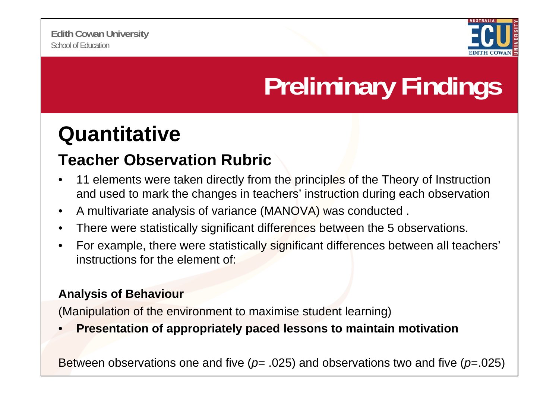

# **Preliminary Findings**

### **Quantitative**

### **Teacher Observation Rubric**

- • 11 elements were taken directly from the principles of the Theory of Instruction and used to mark the changes in teachers' instruction during each observation
- $\bullet$ A multivariate analysis of variance (MANOVA) was conducted .
- •There were statistically significant differences between the 5 observations.
- $\bullet$ For example, there were statistically significant differences between all teachers' instructions for the element of:

#### **Analysis of Behaviour**

(Manipulation of the environment to maximise student learning)

•**Presentation of appropriately paced lessons to maintain motivation of**

Between observations one and five (*p*= .025) and observations two and five (*p*=.025)